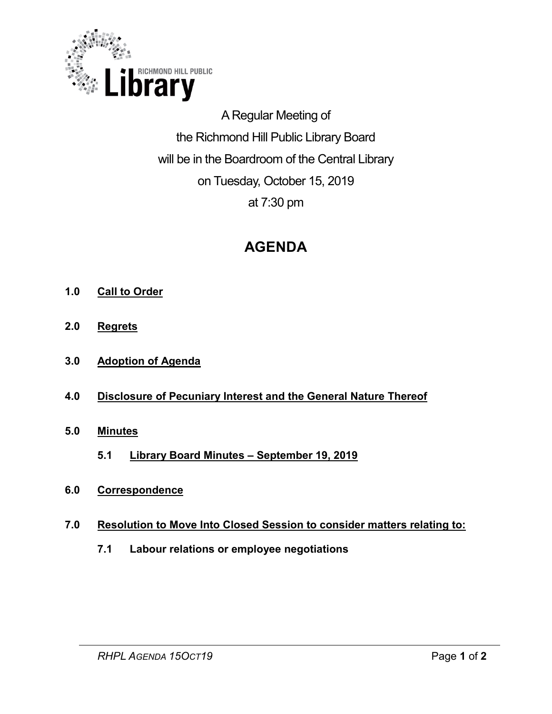

A Regular Meeting of the Richmond Hill Public Library Board will be in the Boardroom of the Central Library on Tuesday, October 15, 2019 at 7:30 pm

# **AGENDA**

- **1.0 Call to Order**
- **2.0 Regrets**
- **3.0 Adoption of Agenda**
- **4.0 Disclosure of Pecuniary Interest and the General Nature Thereof**
- **5.0 Minutes** 
	- **5.1 Library Board Minutes – September 19, 2019**
- **6.0 Correspondence**
- **7.0 Resolution to Move Into Closed Session to consider matters relating to:**
	- **7.1 Labour relations or employee negotiations**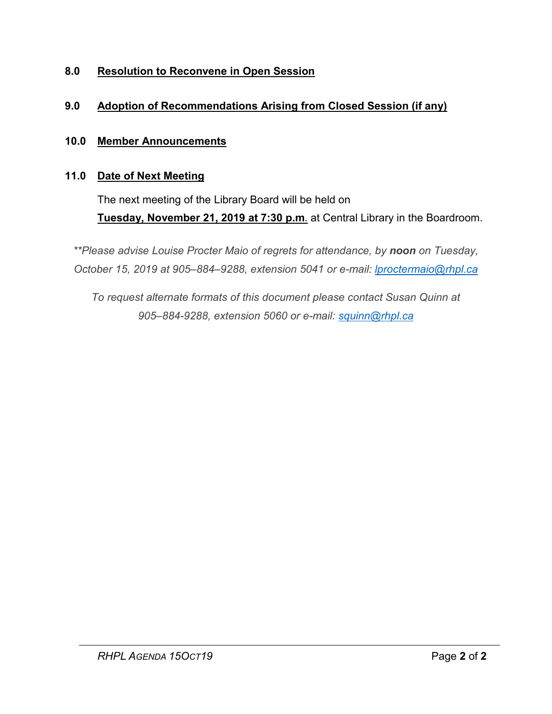## **8.0 Resolution to Reconvene in Open Session**

### **9.0 Adoption of Recommendations Arising from Closed Session (if any)**

#### **10.0 Member Announcements**

#### **11.0 Date of Next Meeting**

The next meeting of the Library Board will be held on **Tuesday, November 21, 2019 at 7:30 p.m**. at Central Library in the Boardroom.

*\*\*Please advise Louise Procter Maio of regrets for attendance, by noon on Tuesday, October 15, 2019 at 905–884–9288, extension 5041 or e-mail: [lproctermaio@rhpl.ca](mailto:lproctermaio@rhpl.ca)*

*To request alternate formats of this document please contact Susan Quinn at 905–884-9288, extension 5060 or e-mail: [squinn@rhpl.ca](mailto:squinn@rhpl.ca)*